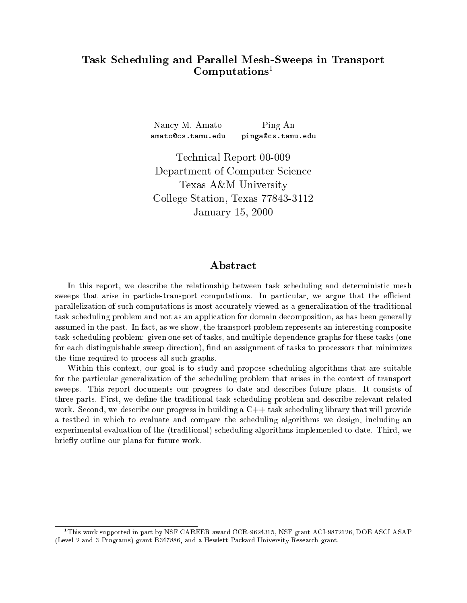# Task S
heduling and Parallel Mesh-Sweeps in Transport  $\rm \bf Computations^1$

Nan
y M. Amato Ping An amato@cs.tamu.edu pinga
s.tamu.edu

Te
hni
al Report 00-009 Department of Computer Science Texas A&M University College Station, Texas 77843-3112 January 15, 2000

## Abstract

In this report, we describe the relationship between task scheduling and deterministic mesh sweeps that arise in particle-transport computations. In particular, we argue that the efficient parallelization of such computations is most accurately viewed as a generalization of the traditional task s
heduling problem and not as an appli
ation for domain de
omposition, as has been generally assumed in the past. In fact, as we show, the transport problem represents an interesting composite task-s
heduling problem: given one set of tasks, and multiple dependen
e graphs for these tasks (one for each distinguishable sweep direction), find an assignment of tasks to processors that minimizes the time required to pro
ess all su
h graphs.

Within this context, our goal is to study and propose scheduling algorithms that are suitable for the particular generalization of the scheduling problem that arises in the context of transport sweeps. This report documents our progress to date and describes future plans. It consists of three parts. First, we define the traditional task scheduling problem and describe relevant related work. Second, we describe our progress in building a C++ task scheduling library that will provide a testbed in which to evaluate and compare the scheduling algorithms we design, including an experimental evaluation of the (traditional) s
heduling algorithms implemented to date. Third, we briefly outline our plans for future work.

<sup>1</sup> This work supported in part by NSF CAREER award CCR-9624315, NSF grant ACI-9872126, DOE ASCI ASAP (Level 2 and 3 Programs) grant B347886, and a Hewlett-Pa
kard University Resear
h grant.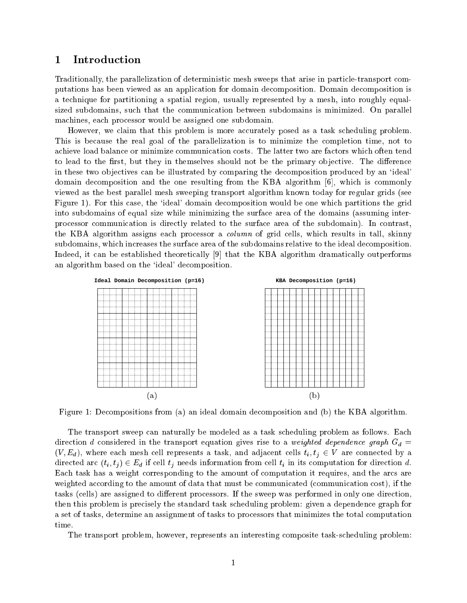## 1 Introdu
tion

Traditionally, the parallelization of deterministic mesh sweeps that arise in particle-transport computations has been viewed as an application for domain decomposition. Domain decomposition is a te
hnique for partitioning a spatial region, usually represented by a mesh, into roughly equalsized subdomains, such that the communication between subdomains is minimized. On parallel machines, each processor would be assigned one subdomain.

However, we claim that this problem is more accurately posed as a task scheduling problem. This is because the real goal of the parallelization is to minimize the completion time, not to achieve load balance or minimize communication costs. The latter two are factors which often tend to lead to the first, but they in themselves should not be the primary objective. The difference in these two objectives can be illustrated by comparing the decomposition produced by an 'ideal' domain decomposition and the one resulting from the KBA algorithm  $[6]$ , which is commonly viewed as the best parallel mesh sweeping transport algorithm known today for regular grids (see Figure 1). For this case, the 'ideal' domain decomposition would be one which partitions the grid into subdomains of equal size while minimizing the surfa
e area of the domains (assuming interpro
essor ommuni
ation is dire
tly related to the surfa
e area of the subdomain). In ontrast, the KBA algorithm assigns each processor a *column* of grid cells, which results in tall, skinny subdomains, which increases the surface area of the subdomains relative to the ideal decomposition. Indeed, it can be established theoretically  $[9]$  that the KBA algorithm dramatically outperforms an algorithm based on the 'ideal' decomposition.



Figure 1: Decompositions from (a) an ideal domain decomposition and (b) the KBA algorithm.

The transport sweep can naturally be modeled as a task scheduling problem as follows. Each direction d considered in the transport equation gives rise to a weighted dependence graph  $G_d =$  $(V, E_d)$ , where each mesh cell represents a task, and adjacent cells  $t_i, t_j \in V$  are connected by a directed arc  $(t_i, t_j) \in E_d$  if cell  $t_j$  needs information from cell  $t_i$  in its computation for direction d. Each task has a weight corresponding to the amount of computation it requires, and the arcs are weighted according to the amount of data that must be communicated (communication cost), if the tasks (cells) are assigned to different processors. If the sweep was performed in only one direction. then this problem is pre
isely the standard task s
heduling problem: given a dependen
e graph for a set of tasks, determine an assignment of tasks to pro
essors that minimizes the total omputation time.

The transport problem, however, represents an interesting omposite task-s
heduling problem: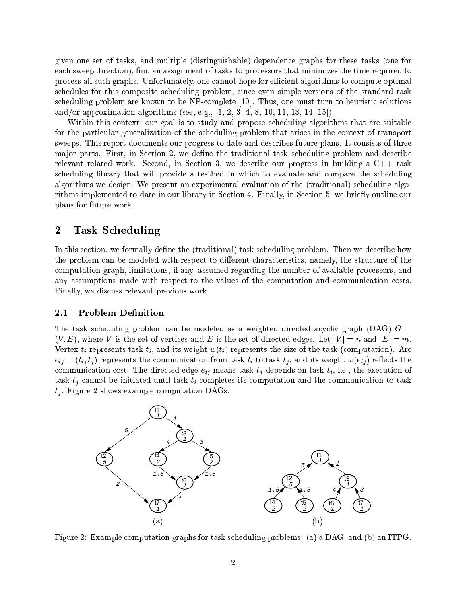given one set of tasks, and multiple (distinguishable) dependen
e graphs for these tasks (one for each sweep direction), find an assignment of tasks to processors that minimizes the time required to pro
ess all su
h graphs. Unfortunately, one annot hope for eÆ
ient algorithms to ompute optimal s
hedules for this omposite s
heduling problem, sin
e even simple versions of the standard task scheduling problem are known to be NP-complete  $[10]$ . Thus, one must turn to heuristic solutions and/or approximation algorithms (see, e.g.,  $[1, 2, 3, 4, 8, 10, 11, 13, 14, 15]$ ).

Within this context, our goal is to study and propose scheduling algorithms that are suitable for the particular generalization of the scheduling problem that arises in the context of transport sweeps. This report documents our progress to date and describes future plans. It consists of three major parts. First, in Section 2, we define the traditional task scheduling problem and describe relevant related work. Second, in Section 3, we describe our progress in building a  $C++$  task scheduling library that will provide a testbed in which to evaluate and compare the scheduling algorithms we design. We present an experimental evaluation of the (traditional) s
heduling algorithms implemented to date in our library in Section 4. Finally, in Section 5, we briefly outline our plans for future work.

## 2 Task S
heduling

In this section, we formally define the (traditional) task scheduling problem. Then we describe how the problem can be modeled with respect to different characteristics, namely, the structure of the computation graph, limitations, if any, assumed regarding the number of available processors, and any assumptions made with respect to the values of the computation and communication costs. Finally, we discuss relevant previous work.

#### 2.1Problem Definition

The task scheduling problem can be modeled as a weighted directed acyclic graph (DAG)  $G =$  $(V, E)$ , where V is the set of vertices and E is the set of directed edges. Let  $|V| = n$  and  $|E| = m$ . Vertex  $t_i$  represents task  $t_i$ , and its weight  $w(t_i)$  represents the size of the task (computation). Arc  $e_{ij} = (t_i, t_j)$  represents the communication from task  $t_i$  to task  $t_j$ , and its weight  $w(e_{ij})$  reflects the communication cost. The directed edge  $e_{ij}$  means task  $t_j$  depends on task  $t_i$ , i.e., the execution of task  $t_i$  cannot be initiated until task  $t_i$  completes its computation and the communication to task  $t_i$ . Figure 2 shows example computation DAGs.



Figure 2: Example computation graphs for task scheduling problems: (a) a DAG, and (b) an ITPG.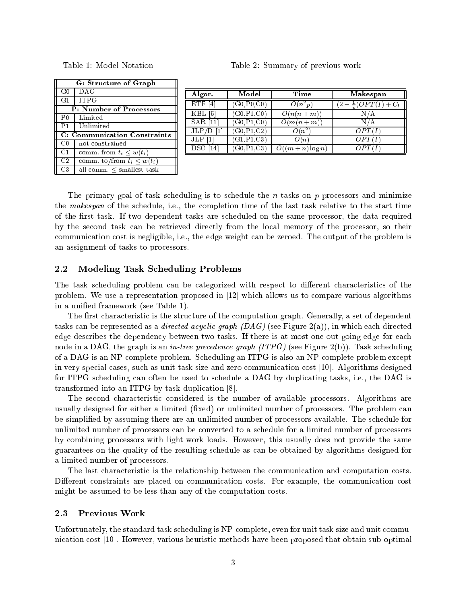| G: Structure of Graph               |                                 |  |  |
|-------------------------------------|---------------------------------|--|--|
| $_{\rm G0}$                         | DAG                             |  |  |
| G1                                  | <b>ITPG</b>                     |  |  |
| <b>P: Number of Processors</b>      |                                 |  |  |
| P <sub>0</sub>                      | Limited                         |  |  |
| P <sub>1</sub>                      | Unlimited                       |  |  |
| <b>C: Communication Constraints</b> |                                 |  |  |
| $_{\rm C0}$                         | not constrained                 |  |  |
| C1                                  | comm. from $t_i \leq w(t_i)$    |  |  |
| C <sub>2</sub>                      | comm. to/from $t_i \leq w(t_i)$ |  |  |
| C3                                  | all comm. $\leq$ smallest task  |  |  |

| Algor.          | Model                   | Time             | <b>Makespan</b>                        |
|-----------------|-------------------------|------------------|----------------------------------------|
| <b>ETF</b><br>4 | (G0, P0, C0)            | $O(n^2p)$        | $\frac{1}{2}$ )OPT(I) + C <sub>l</sub> |
| 5<br>KBL        | (G0, P1, C0)            | $O(n(n+m))$      | N/A                                    |
| $SAR$ [11       | $(G0,\overline{P1,C0})$ | $O(m(n+m))$      | N/A                                    |
| JLP/D           | (G0, P1, C2)            | $O(n^2)$         | OPT(I                                  |
| JLP             | (G1, P1, C3)            | O(n)             |                                        |
| 4               | G0.P1.C3                | $O((m+n)\log n)$ |                                        |

The primary goal of task scheduling is to schedule the  $n$  tasks on  $p$  processors and minimize the *makespan* of the schedule, i.e., the completion time of the last task relative to the start time of the first task. If two dependent tasks are scheduled on the same processor, the data required by the second task can be retrieved directly from the local memory of the processor, so their communication cost is negligible, i.e., the edge weight can be zeroed. The output of the problem is an assignment of tasks to pro
essors.

#### $2.2$ Modeling Task S
heduling Problems

The task scheduling problem can be categorized with respect to different characteristics of the problem. We use a representation proposed in  $[12]$  which allows us to compare various algorithms in a unied framework (see Table 1).

The first characteristic is the structure of the computation graph. Generally, a set of dependent tasks can be represented as a *directed acyclic graph*  $(DAG)$  (see Figure 2(a)), in which each directed edge describes the dependency between two tasks. If there is at most one out-going edge for each node in a DAG, the graph is an *in-tree precedence graph (ITPG)* (see Figure 2(b)). Task scheduling of a DAG is an NPomplete problem. S
heduling an ITPG is also an NPomplete problem ex
ept in very special cases, such as unit task size and zero communication cost [10]. Algorithms designed for ITPG scheduling can often be used to schedule a DAG by duplicating tasks, i.e., the DAG is transformed into an ITPG by task duplication  $[8]$ .

The second characteristic considered is the number of available processors. Algorithms are usually designed for either a limited (fixed) or unlimited number of processors. The problem can be simplied by assuming there are an unlimited number of pro
essors available. The s
hedule for unlimited number of pro
essors an be onverted to a s
hedule for a limited number of pro
essors by ombining pro
essors with light work loads. However, this usually does not provide the same guarantees on the quality of the resulting s
hedule as an be obtained by algorithms designed for a limited number of pro
essors.

The last characteristic is the relationship between the communication and computation costs. Different constraints are placed on communication costs. For example, the communication cost might be assumed to be less than any of the computation costs.

#### 2.3Previous Work

Unfortunately, the standard task scheduling is NP-complete, even for unit task size and unit communication cost [10]. However, various heuristic methods have been proposed that obtain sub-optimal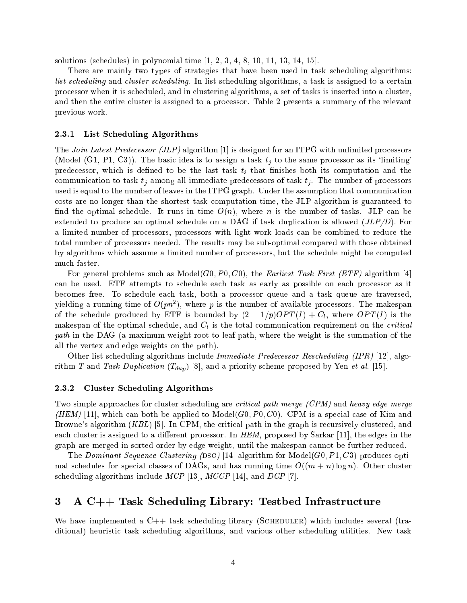solutions (schedules) in polynomial time  $[1, 2, 3, 4, 8, 10, 11, 13, 14, 15]$ .

There are mainly two types of strategies that have been used in task s
heduling algorithms: list scheduling and cluster scheduling. In list scheduling algorithms, a task is assigned to a certain pro
essor when it is s
heduled, and in lustering algorithms, a set of tasks is inserted into a luster, and then the entire luster is assigned to a pro
essor. Table 2 presents a summary of the relevant previous work.

### 2.3.1 List S
heduling Algorithms

The *Join Latest Predecessor (JLP)* algorithm  $[1]$  is designed for an ITPG with unlimited processors (Model (G1, P1, C3)). The basic idea is to assign a task  $t_i$  to the same processor as its 'limiting' predecessor, which is defined to be the last task  $t_i$  that finishes both its computation and the communication to task  $t_i$  among all immediate predecessors of task  $t_i$ . The number of processors used is equal to the number of leaves in the ITPG graph. Under the assumption that communication osts are no longer than the shortest task omputation time, the JLP algorithm is guaranteed to find the optimal schedule. It runs in time  $O(n)$ , where n is the number of tasks. JLP can be extended to produce an optimal schedule on a DAG if task duplication is allowed  $(JLP/D)$ . For a limited number of processors, processors with light work loads can be combined to reduce the total number of pro
essors needed. The results may be sub-optimal ompared with those obtained by algorithms whi
h assume a limited number of pro
essors, but the s
hedule might be omputed mu
h faster.

For general problems such as Model(G0, P0, C0), the Earliest Task First (ETF) algorithm [4] can be used. ETF attempts to schedule each task as early as possible on each processor as it be
omes free. To s
hedule ea
h task, both a pro
essor queue and a task queue are traversed, yielding a running time of  $O(pn^{-})$ , where  $p$  is the number of available processors. The makespan of the schedule produced by ETF is bounded by  $(2 - 1/p)OPT(I) + C_l$ , where  $OPT(I)$  is the makespan of the optimal schedule, and  $C_l$  is the total communication requirement on the *critical* path in the DAG (a maximum weight root to leaf path, where the weight is the summation of the all the vertex and edge weights on the path).

Other list scheduling algorithms include Immediate Predecessor Rescheduling (IPR) [12], algorithm T and Task Duplication  $(T_{dup})$  [8], and a priority scheme proposed by Yen et al. [15].

### 2.3.2 Cluster S
heduling Algorithms

Two simple approaches for cluster scheduling are *critical path merge (CPM)* and *heavy edge merge* (HEM) [11], which can both be applied to Model(G0, P0, C0). CPM is a special case of Kim and Browne's algorithm  $(KBL)$  [5]. In CPM, the critical path in the graph is recursively clustered, and each cluster is assigned to a different processor. In HEM, proposed by Sarkar [11], the edges in the graph are merged in sorted order by edge weight, until the makespan annot be further redu
ed.

The Dominant Sequence Clustering (DSC) [14] algorithm for Model(G0, P1, C3) produces optimal schedules for special classes of DAGs, and has running time  $O((m + n) \log n)$ . Other cluster scheduling algorithms include  $MCP$  [13],  $MCCP$  [14], and  $DCP$  [7].

## 3 A C++ Task S
heduling Library: Testbed Infrastru
ture

We have implemented a  $C_{++}$  task scheduling library (SCHEDULER) which includes several (traditional) heuristi task s
heduling algorithms, and various other s
heduling utilities. New task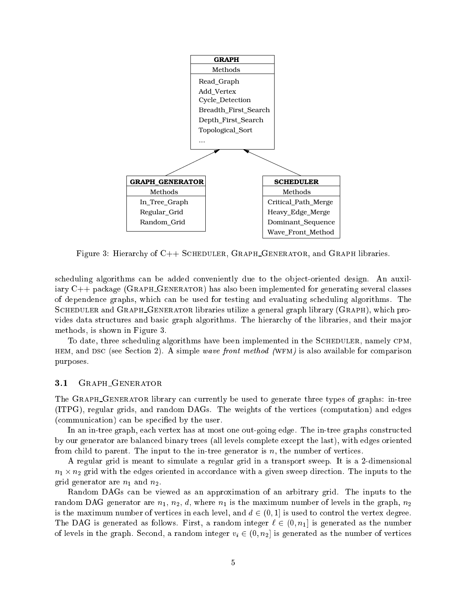

Figure 3: Hierarchy of C++ SCHEDULER, GRAPH\_GENERATOR, and GRAPH libraries.

scheduling algorithms can be added conveniently due to the object-oriented design. An auxiliary C++ package (GRAPH\_GENERATOR) has also been implemented for generating several classes of dependen
e graphs, whi
h an be used for testing and evaluating s
heduling algorithms. The SCHEDULER and GRAPH\_GENERATOR libraries utilize a general graph library (GRAPH), which provides data structures and basic graph algorithms. The hierarchy of the libraries, and their major methods, is shown in Figure 3.

To date, three scheduling algorithms have been implemented in the SCHEDULER, namely CPM. HEM, and DSC (see Section 2). A simple wave front method (WFM) is also available for comparison purposes.

#### Graph Generator  $3.1$

The GRAPH\_GENERATOR library can currently be used to generate three types of graphs: in-tree (ITPG), regular grids, and random DAGs. The weights of the verti
es (
omputation) and edges (communication) can be specified by the user.

In an in-tree graph, each vertex has at most one out-going edge. The in-tree graphs constructed by our generator are balan
ed binary trees (all levels omplete ex
ept the last), with edges oriented from child to parent. The input to the in-tree generator is  $n$ , the number of vertices.

A regular grid is meant to simulate a regular grid in a transport sweep. It is a 2-dimensional ordan grid with the edges oriented in a given sweep direction in a given sweep direction. The inputs to the i grid generator are  $n_1$  and  $n_2$ .

Random DAGs an be viewed as an approximation of an arbitrary grid. The inputs to the random DAG generator are  $n_1$ ,  $n_2$ , d, where  $n_1$  is the maximum number of levels in the graph,  $n_2$ is the maximum number of vertices in each level, and  $d \in (0,1]$  is used to control the vertex degree. The DAG is generated as follows. First, a random integer  $\ell \in (0, n_1]$  is generated as the number of levels in the graph. Second, a random integer  $v_i \in (0, n_2]$  is generated as the number of vertices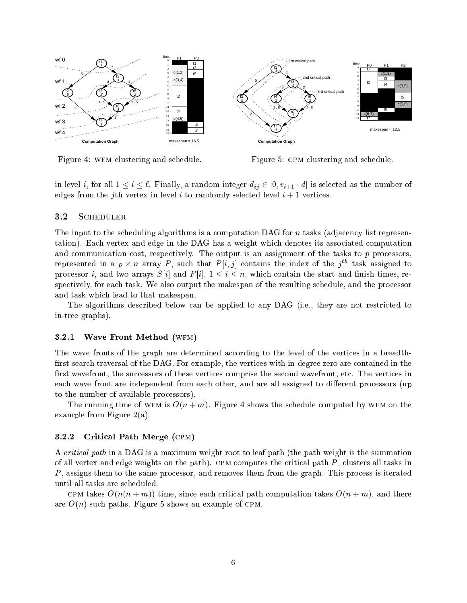

Figure 4: WFM clustering and schedule.

Figure 5: CPM clustering and schedule.

in level i, for all  $1 \le i \le \ell$ . Finally, a random integer  $d_{ij} \in [0, v_{i+1} \cdot d]$  is selected as the number of edges from the *j*th vertex in level *i* to randomly selected level  $i + 1$  vertices.

#### 3.2**SCHEDULER**

The input to the scheduling algorithms is a computation DAG for *n* tasks (adjacency list representation). Ea
h vertex and edge in the DAG has a weight whi
h denotes its asso
iated omputation and communication cost, respectively. The output is an assignment of the tasks to  $p$  processors, represented in a  $p \times n$  array  $P$  , such that  $P[i,j]$  contains the index of the  $j^{**}$  task assigned to processor *i*, and two arrays  $S[i]$  and  $F[i], 1 \leq i \leq n$ , which contain the start and finish times, respectively, for each task. We also output the makespan of the resulting schedule, and the processor and task whi
h lead to that makespan.

The algorithms described below can be applied to any DAG (i.e., they are not restricted to in-tree graphs).

### 3.2.1 Wave Front Method (WFM)

The wave fronts of the graph are determined according to the level of the vertices in a breadthfirst-search traversal of the DAG. For example, the vertices with in-degree zero are contained in the first wavefront, the successors of these vertices comprise the second wavefront, etc. The vertices in each wave front are independent from each other, and are all assigned to different processors (up to the number of available pro
essors).

The running time of WFM is  $O(n+m)$ . Figure 4 shows the schedule computed by WFM on the example from Figure 2(a).

### 3.2.2 Critical Path Merge (CPM)

A *critical path* in a DAG is a maximum weight root to leaf path (the path weight is the summation of all vertex and edge weights on the path). CPM computes the critical path  $P$ , clusters all tasks in P, assigns them to the same processor, and removes them from the graph. This process is iterated until all tasks are s
heduled.

CPM takes  $O(n(n+m))$  time, since each critical path computation takes  $O(n+m)$ , and there are  $O(n)$  such paths. Figure 5 shows an example of CPM.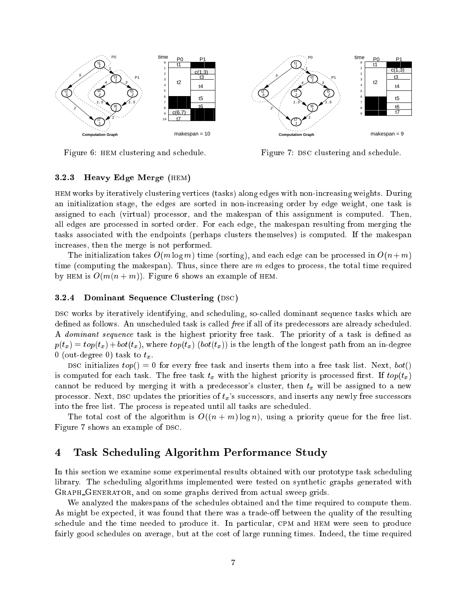

Figure 6: HEM clustering and schedule.

Figure 7: DSC clustering and schedule.

### 3.2.3 Heavy Edge Merge (hem)

hem works by iteratively lustering verti
es (tasks) along edges with non-in
reasing weights. During an initialization stage, the edges are sorted in non-increasing order by edge weight, one task is assigned to ea
h (virtual) pro
essor, and the makespan of this assignment is omputed. Then, all edges are pro
essed in sorted order. For ea
h edge, the makespan resulting from merging the tasks asso
iated with the endpoints (perhaps lusters themselves) is omputed. If the makespan in
reases, then the merge is not performed.

The initialization takes  $O(m \log m)$  time (sorting), and each edge can be processed in  $O(n+m)$ time (computing the makespan). Thus, since there are  $m$  edges to process, the total time required by HEM is  $O(m(n+m))$ . Figure 6 shows an example of HEM.

### $3.2.4$  Dominant Sequence Clustering (DSC)

DSC works by iteratively identifying, and scheduling, so-called dominant sequence tasks which are defined as follows. An unscheduled task is called *free* if all of its predecessors are already scheduled. A *dominant sequence* task is the highest priority free task. The priority of a task is defined as  $p(t_x) = top(t_x) + bot(t_x)$ , where  $top(t_x)$  (bot(t<sub>x</sub>)) is the length of the longest path from an in-degree 0 (out-degree 0) task to  $t_x$ .

DSC initializes  $top() = 0$  for every free task and inserts them into a free task list. Next,  $bot()$ is computed for each task. The free task  $t_x$  with the highest priority is processed first. If  $top(t_x)$ cannot be reduced by merging it with a predecessor's cluster, then  $t_x$  will be assigned to a new processor. Next, DSC updates the priorities of  $t_x$ 's successors, and inserts any newly free successors into the free list. The pro
ess is repeated until all tasks are s
heduled.

The total cost of the algorithm is  $O((n + m) \log n)$ , using a priority queue for the free list. Figure 7 shows an example of DSC.

## 4 Task S
heduling Algorithm Performan
e Study

In this section we examine some experimental results obtained with our prototype task scheduling library. The scheduling algorithms implemented were tested on synthetic graphs generated with GRAPH\_GENERATOR, and on some graphs derived from actual sweep grids.

We analyzed the makespans of the schedules obtained and the time required to compute them. As might be expected, it was found that there was a trade-off between the quality of the resulting schedule and the time needed to produce it. In particular, CPM and HEM were seen to produce fairly good schedules on average, but at the cost of large running times. Indeed, the time required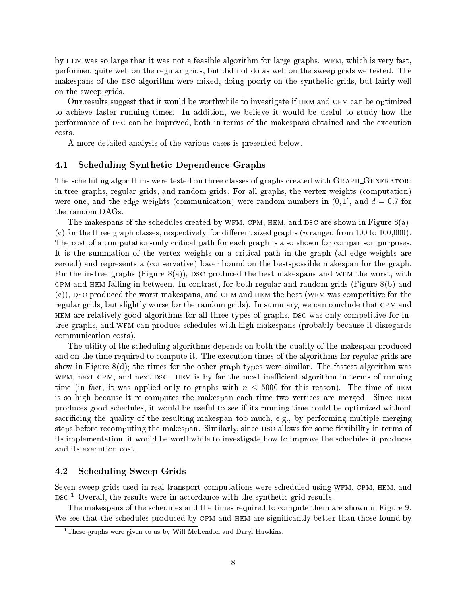by HEM was so large that it was not a feasible algorithm for large graphs. WFM, which is very fast, performed quite well on the regular grids, but did not do as well on the sweep grids we tested. The makespans of the DSC algorithm were mixed, doing poorly on the synthetic grids, but fairly well on the sweep grids.

Our results suggest that it would be worthwhile to investigate if HEM and CPM can be optimized to a
hieve faster running times. In addition, we believe it would be useful to study how the performance of DSC can be improved, both in terms of the makespans obtained and the execution costs.

A more detailed analysis of the various ases is presented below.

### 4.1 Scheduling Synthetic Dependence Graphs

The scheduling algorithms were tested on three classes of graphs created with GRAPH\_GENERATOR: in-tree graphs, regular grids, and random grids. For all graphs, the vertex weights (
omputation) were one, and the edge weights (communication) were random numbers in  $(0, 1]$ , and  $d = 0.7$  for the random DAGs.

The makespans of the schedules created by WFM, CPM, HEM, and DSC are shown in Figure  $8(a)$ -(
) for the three graph lasses, respe
tively, for dierent sized graphs (n ranged from 100 to 100,000). The cost of a computation-only critical path for each graph is also shown for comparison purposes. It is the summation of the vertex weights on a critical path in the graph (all edge weights are zeroed) and represents a (
onservative) lower bound on the best-possible makespan for the graph. For the in-tree graphs (Figure  $S(a)$ ), DSC produced the best makespans and WFM the worst, with CPM and HEM falling in between. In contrast, for both regular and random grids (Figure  $8(b)$ ) and  $(c)$ ), DSC produced the worst makespans, and CPM and HEM the best (WFM was competitive for the regular grids, but slightly worse for the random grids). In summary, we can conclude that CPM and HEM are relatively good algorithms for all three types of graphs, DSC was only competitive for intree graphs, and WFM can produce schedules with high makespans (probably because it disregards communication costs).

The utility of the s
heduling algorithms depends on both the quality of the makespan produ
ed and on the time required to compute it. The execution times of the algorithms for regular grids are show in Figure 8(d); the times for the other graph types were similar. The fastest algorithm was WFM, next CPM, and next DSC. HEM is by far the most inefficient algorithm in terms of running time (in fact, it was applied only to graphs with  $n \leq 5000$  for this reason). The time of HEM is so high because it re-computes the makespan each time two vertices are merged. Since HEM produ
es good s
hedules, it would be useful to see if its running time ould be optimized without sacrificing the quality of the resulting makespan too much, e.g., by performing multiple merging steps before recomputing the makespan. Similarly, since DSC allows for some flexibility in terms of its implementation, it would be worthwhile to investigate how to improve the s
hedules it produ
es and its exe
ution ost.

#### 4.2 S
heduling Sweep Grids

Seven sweep grids used in real transport computations were scheduled using WFM, CPM, HEM, and DSC. Uverall, the results were in accordance with the synthetic grid results.

The makespans of the s
hedules and the times required to ompute them are shown in Figure 9. We see that the schedules produced by CPM and HEM are significantly better than those found by

<sup>1</sup> These graphs were given to us by Will M
Lendon and Daryl Hawkins.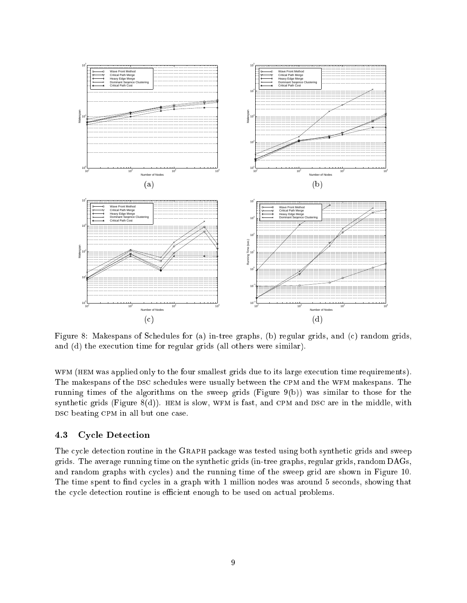

Figure 8: Makespans of Schedules for (a) in-tree graphs, (b) regular grids, and (c) random grids, and (d) the execution time for regular grids (all others were similar).

WFM (HEM was applied only to the four smallest grids due to its large execution time requirements). The makespans of the DSC schedules were usually between the CPM and the WFM makespans. The running times of the algorithms on the sweep grids (Figure  $9(b)$ ) was similar to those for the synthetic grids (Figure  $8(d)$ ). HEM is slow, WFM is fast, and CPM and DSC are in the middle, with DSC beating CPM in all but one case.

#### 4.3Cy
le Dete
tion

The cycle detection routine in the GRAPH package was tested using both synthetic grids and sweep grids. The average running time on the syntheti grids (in-tree graphs, regular grids, random DAGs, and random graphs with cycles) and the running time of the sweep grid are shown in Figure 10. The time spent to find cycles in a graph with 1 million nodes was around 5 seconds, showing that the cycle detection routine is efficient enough to be used on actual problems.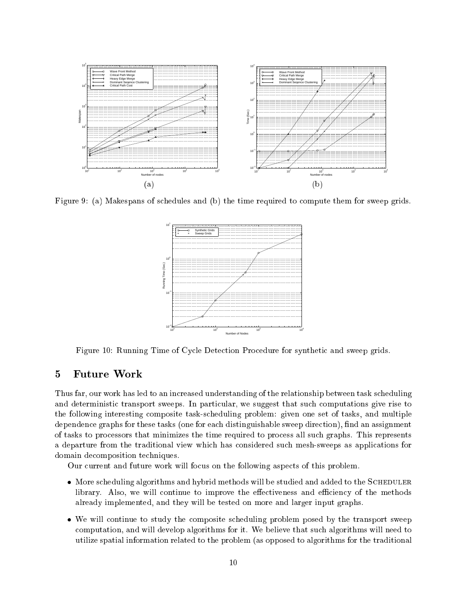

Figure 9: (a) Makespans of schedules and (b) the time required to compute them for sweep grids.



Figure 10: Running Time of Cycle Detection Procedure for synthetic and sweep grids.

### $\overline{5}$ 5 Future Work

Thus far, our work has led to an increased understanding of the relationship between task scheduling and deterministic transport sweeps. In particular, we suggest that such computations give rise to the following interesting omposite task-s
heduling problem: given one set of tasks, and multiple dependence graphs for these tasks (one for each distinguishable sweep direction), find an assignment of tasks to pro
essors that minimizes the time required to pro
ess all su
h graphs. This represents a departure from the traditional view which has considered such mesh-sweeps as applications for domain de
omposition te
hniques.

Our urrent and future work will fo
us on the following aspe
ts of this problem.

- More scheduling algorithms and hybrid methods will be studied and added to the SCHEDULER library. Also, we will continue to improve the effectiveness and efficiency of the methods already implemented, and they will be tested on more and larger input graphs.
- We will continue to study the composite scheduling problem posed by the transport sweep omputation, and will develop algorithms for it. We believe that su
h algorithms will need to utilize spatial information related to the problem (as opposed to algorithms for the traditional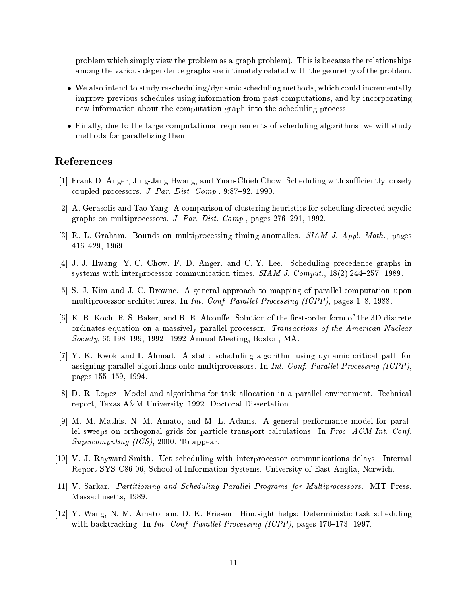problem which simply view the problem as a graph problem). This is because the relationships among the various dependen
e graphs are intimately related with the geometry of the problem.

- We also intend to study rescheduling/dynamic scheduling methods, which could incrementally improve previous s
hedules using information from past omputations, and by in
orporating new information about the computation graph into the scheduling process.
- Finally, due to the large computational requirements of scheduling algorithms, we will study methods for parallelizing them.

## Referen
es

- [1] Frank D. Anger, Jing-Jang Hwang, and Yuan-Chieh Chow. Scheduling with sufficiently loosely coupled processors. J. Par. Dist. Comp.,  $9:87-92$ , 1990.
- [2] A. Gerasolis and Tao Yang. A comparison of clustering heuristics for scheuling directed acyclic graphs on multiprocessors. J. Par. Dist. Comp., pages  $276-291$ , 1992.
- [3] R. L. Graham. Bounds on multiprocessing timing anomalies.  $SIAM J.$  Appl. Math., pages 416{429, 1969.
- [4] J.-J. Hwang, Y.-C. Chow, F. D. Anger, and C.-Y. Lee. Scheduling precedence graphs in systems with interprocessor communication times.  $SIAM J. Comput.$   $18(2):244-257, 1989.$
- [5] S. J. Kim and J. C. Browne. A general approach to mapping of parallel computation upon multiprocessor architectures. In *Int. Conf. Parallel Processing (ICPP)*, pages 1–8, 1988.
- [6] K. R. Koch, R. S. Baker, and R. E. Alcouffe. Solution of the first-order form of the 3D discrete ordinates equation on a massively parallel processor. Transactions of the American Nuclear Society, 65:198-199, 1992. 1992 Annual Meeting, Boston, MA.
- [7] Y. K. Kwok and I. Ahmad. A static scheduling algorithm using dynamic critical path for assigning parallel algorithms onto multiprocessors. In *Int. Conf. Parallel Processing (ICPP)*, pages 155-159, 1994.
- [8] D. R. Lopez. Model and algorithms for task allocation in a parallel environment. Technical report, Texas A&M University, 1992. Do
toral Dissertation.
- [9] M. M. Mathis, N. M. Amato, and M. L. Adams. A general performance model for parallel sweeps on orthogonal grids for particle transport calculations. In Proc. ACM Int. Conf. Supercomputing (ICS), 2000. To appear.
- [10] V. J. Rayward-Smith. Uet scheduling with interprocessor communications delays. Internal Report SYS-C86-06, S
hool of Information Systems. University of East Anglia, Norwi
h.
- [11] V. Sarkar. Partitioning and Scheduling Parallel Programs for Multiprocessors. MIT Press. Massa
husetts, 1989.
- [12] Y. Wang, N. M. Amato, and D. K. Friesen. Hindsight helps: Deterministic task scheduling with backtracking. In *Int. Conf. Parallel Processing (ICPP)*, pages  $170-173$ , 1997.